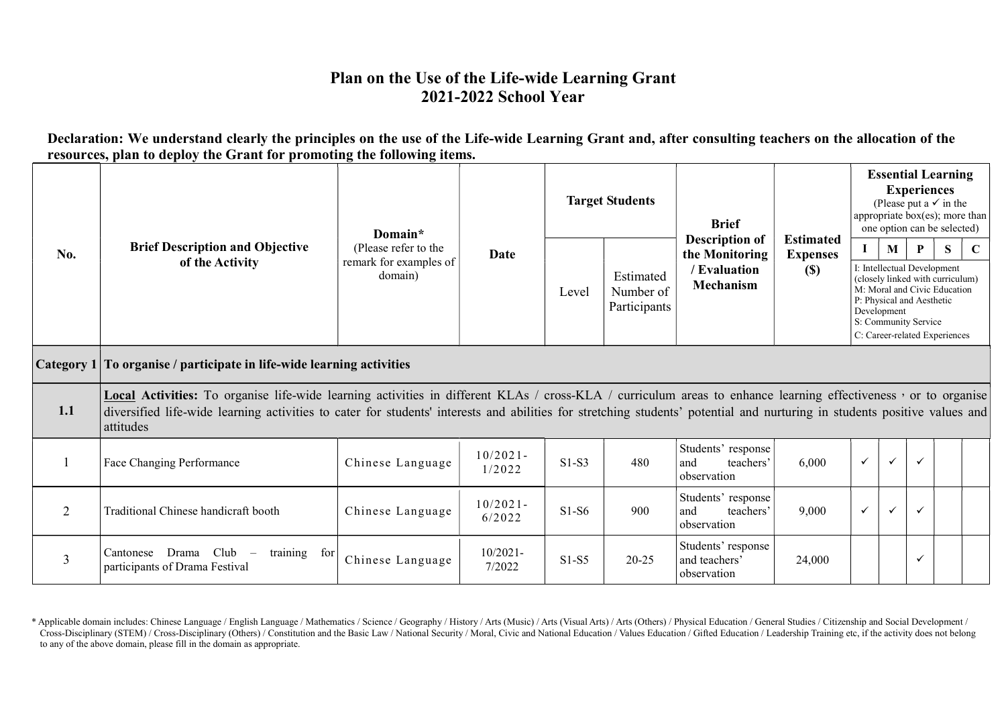## Plan on the Use of the Life-wide Learning Grant 2021-2022 School Year

Declaration: We understand clearly the principles on the use of the Life-wide Learning Grant and, after consulting teachers on the allocation of the resources, plan to deploy the Grant for promoting the following items.

|                      |                                                                                                                                                                                                                                                                                                                                                           | Domain*                                                   |                       |                                                 | <b>Target Students</b>                                                      | <b>Brief</b>                                                      |        | appropriate box(es); more than | <b>Essential Learning</b><br>(Please put a $\checkmark$ in the<br>one option can be selected) |                                                                                                   |   |  |
|----------------------|-----------------------------------------------------------------------------------------------------------------------------------------------------------------------------------------------------------------------------------------------------------------------------------------------------------------------------------------------------------|-----------------------------------------------------------|-----------------------|-------------------------------------------------|-----------------------------------------------------------------------------|-------------------------------------------------------------------|--------|--------------------------------|-----------------------------------------------------------------------------------------------|---------------------------------------------------------------------------------------------------|---|--|
| No.                  | <b>Brief Description and Objective</b><br>of the Activity                                                                                                                                                                                                                                                                                                 | (Please refer to the<br>remark for examples of<br>domain) | Date                  | Estimated<br>Level<br>Number of<br>Participants | <b>Description of</b><br>the Monitoring<br>/ Evaluation<br><b>Mechanism</b> | <b>Estimated</b><br><b>Expenses</b><br>$\left( \mathbb{S}\right)$ |        | M<br>Development               | P<br>I: Intellectual Development<br>P: Physical and Aesthetic<br>S: Community Service         | (closely linked with curriculum)<br>M: Moral and Civic Education<br>C: Career-related Experiences | C |  |
| $\lfloor$ Category 1 | To organise / participate in life-wide learning activities                                                                                                                                                                                                                                                                                                |                                                           |                       |                                                 |                                                                             |                                                                   |        |                                |                                                                                               |                                                                                                   |   |  |
| 1.1                  | Local Activities: To organise life-wide learning activities in different KLAs / cross-KLA / curriculum areas to enhance learning effectiveness , or to organise<br>diversified life-wide learning activities to cater for students' interests and abilities for stretching students' potential and nurturing in students positive values and<br>attitudes |                                                           |                       |                                                 |                                                                             |                                                                   |        |                                |                                                                                               |                                                                                                   |   |  |
|                      | Face Changing Performance                                                                                                                                                                                                                                                                                                                                 | Chinese Language                                          | $10/2021 -$<br>1/2022 | $S1-S3$                                         | 480                                                                         | Students' response<br>and<br>teachers'<br>observation             | 6,000  | $\checkmark$                   | $\checkmark$                                                                                  | $\checkmark$                                                                                      |   |  |
| 2                    | Traditional Chinese handicraft booth                                                                                                                                                                                                                                                                                                                      | Chinese Language                                          | $10/2021 -$<br>6/2022 | $S1-S6$                                         | 900                                                                         | Students' response<br>and<br>teachers'<br>observation             | 9,000  | $\checkmark$                   | $\checkmark$                                                                                  | $\checkmark$                                                                                      |   |  |
| $\overline{3}$       | Drama Club<br>training for<br>Cantonese<br>$\overline{\phantom{a}}$<br>participants of Drama Festival                                                                                                                                                                                                                                                     | Chinese Language                                          | $10/2021 -$<br>7/2022 | $S1-S5$                                         | $20 - 25$                                                                   | Students' response<br>and teachers'<br>observation                | 24,000 |                                |                                                                                               | $\checkmark$                                                                                      |   |  |

Cross-Disciplinary (STEM) / Cross-Disciplinary (Others) / Constitution and the Basic Law / National Security / Moral, Civic and National Education / Values Education / Gifted Education / Leadership Training etc, if the act \* Applicable domain includes: Chinese Language / English Language / Mathematics / Science / Geography / History / Arts (Music) / Arts (Visual Arts) / Arts (Others) / Physical Education / General Studies / Citizenship and S to any of the above domain, please fill in the domain as appropriate.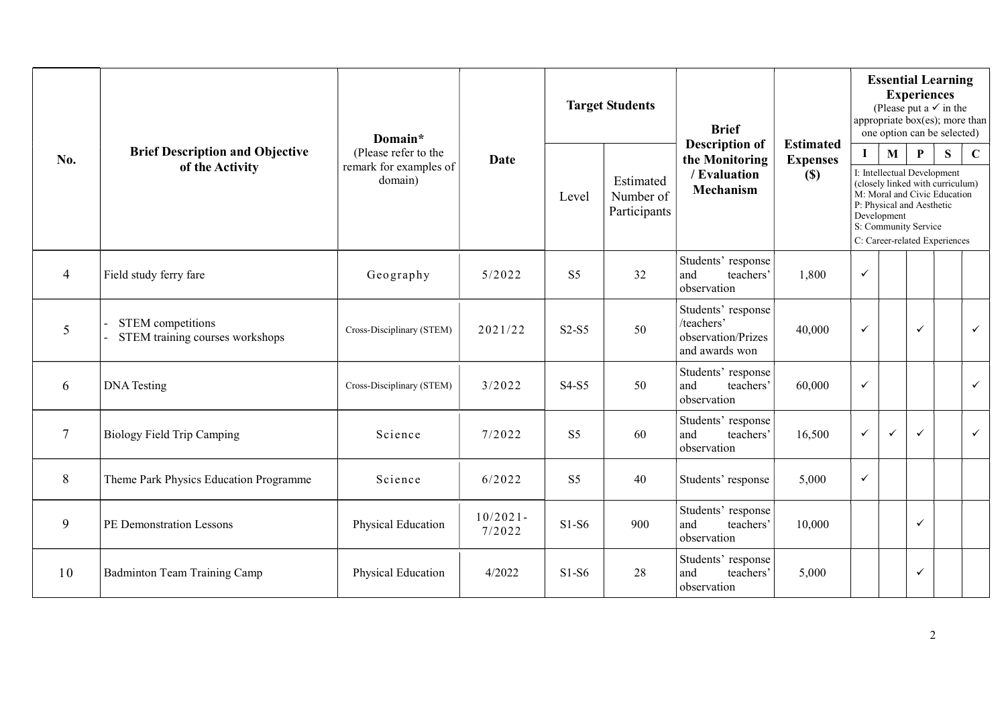|                  |                                                           | Domain*                                                   |                       |                | <b>Target Students</b>                 | <b>Brief</b><br><b>Description of</b>                                    | <b>Estimated</b>       | <b>Essential Learning</b><br><b>Experiences</b><br>(Please put a $\checkmark$ in the<br>appropriate box(es); more than<br>one option can be selected) |                             |                                                                                                  |                                                                                                        |              |  |
|------------------|-----------------------------------------------------------|-----------------------------------------------------------|-----------------------|----------------|----------------------------------------|--------------------------------------------------------------------------|------------------------|-------------------------------------------------------------------------------------------------------------------------------------------------------|-----------------------------|--------------------------------------------------------------------------------------------------|--------------------------------------------------------------------------------------------------------|--------------|--|
| No.              | <b>Brief Description and Objective</b><br>of the Activity | (Please refer to the<br>remark for examples of<br>domain) | Date                  | Level          | Estimated<br>Number of<br>Participants | the Monitoring<br>/ Evaluation<br><b>Mechanism</b>                       | <b>Expenses</b><br>(S) | $\bf I$                                                                                                                                               | $\mathbf{M}$<br>Development | $\mathbf{P}$<br>I: Intellectual Development<br>P: Physical and Aesthetic<br>S: Community Service | S<br>(closely linked with curriculum)<br>M: Moral and Civic Education<br>C: Career-related Experiences | $\mathbf C$  |  |
| $\overline{4}$   | Field study ferry fare                                    | Geography                                                 | 5/2022                | S <sub>5</sub> | 32                                     | Students' response<br>and<br>teachers'<br>observation                    | 1,800                  | $\checkmark$                                                                                                                                          |                             |                                                                                                  |                                                                                                        |              |  |
| 5                | STEM competitions<br>STEM training courses workshops      | Cross-Disciplinary (STEM)                                 | 2021/22               | $S2-S5$        | 50                                     | Students' response<br>/teachers'<br>observation/Prizes<br>and awards won | 40,000                 | $\checkmark$                                                                                                                                          |                             | $\checkmark$                                                                                     |                                                                                                        | $\checkmark$ |  |
| 6                | <b>DNA</b> Testing                                        | Cross-Disciplinary (STEM)                                 | 3/2022                | S4-S5          | 50                                     | Students' response<br>and<br>teachers'<br>observation                    | 60,000                 | $\checkmark$                                                                                                                                          |                             |                                                                                                  |                                                                                                        | $\checkmark$ |  |
| $\boldsymbol{7}$ | <b>Biology Field Trip Camping</b>                         | Science                                                   | 7/2022                | S <sub>5</sub> | 60                                     | Students' response<br>and<br>teachers'<br>observation                    | 16,500                 | $\checkmark$                                                                                                                                          | $\checkmark$                | $\checkmark$                                                                                     |                                                                                                        | $\checkmark$ |  |
| 8                | Theme Park Physics Education Programme                    | Science                                                   | 6/2022                | S <sub>5</sub> | 40                                     | Students' response                                                       | 5,000                  | $\checkmark$                                                                                                                                          |                             |                                                                                                  |                                                                                                        |              |  |
| 9                | PE Demonstration Lessons                                  | Physical Education                                        | $10/2021 -$<br>7/2022 | $S1-S6$        | 900                                    | Students' response<br>and<br>teachers'<br>observation                    | 10,000                 |                                                                                                                                                       |                             | ✓                                                                                                |                                                                                                        |              |  |
| 10               | <b>Badminton Team Training Camp</b>                       | Physical Education                                        | 4/2022                | $S1-S6$        | 28                                     | Students' response<br>teachers'<br>and<br>observation                    | 5,000                  |                                                                                                                                                       |                             | $\checkmark$                                                                                     |                                                                                                        |              |  |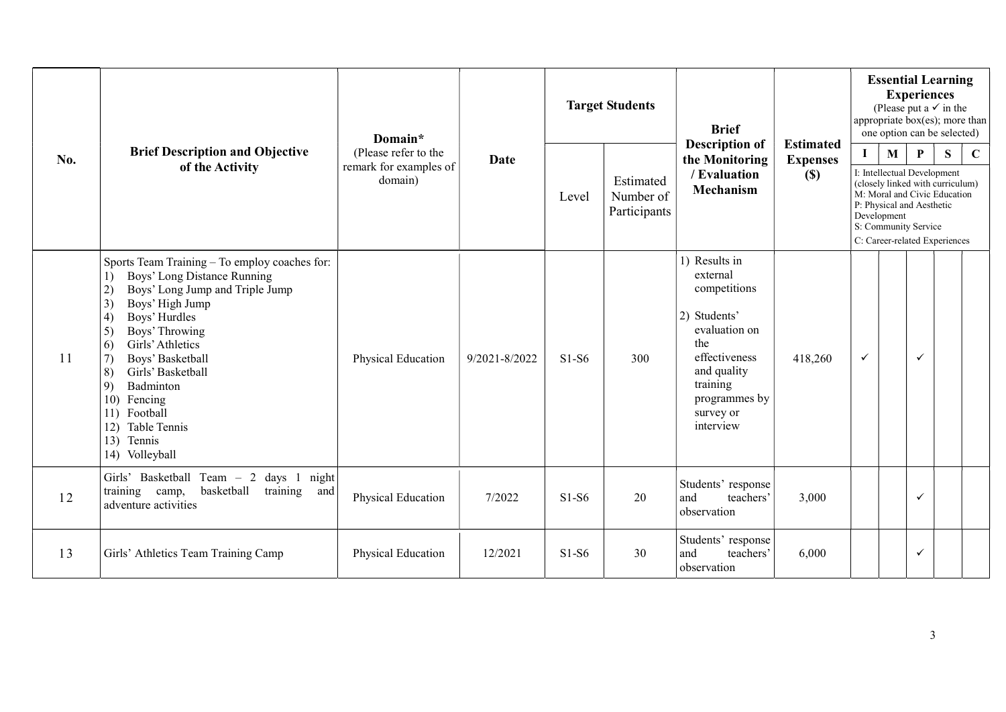|     |                                                                                                                                                                                                                                                                                                                                                                                                     | Domain*                                                   |               | <b>Target Students</b>                          |                                             | <b>Brief</b><br><b>Description of</b>                                                                                                                                    |         |                  | <b>Essential Learning</b><br><b>Experiences</b><br>(Please put a $\checkmark$ in the<br>appropriate box(es); more than<br>one option can be selected) |                                                                                                        |             |  |  |
|-----|-----------------------------------------------------------------------------------------------------------------------------------------------------------------------------------------------------------------------------------------------------------------------------------------------------------------------------------------------------------------------------------------------------|-----------------------------------------------------------|---------------|-------------------------------------------------|---------------------------------------------|--------------------------------------------------------------------------------------------------------------------------------------------------------------------------|---------|------------------|-------------------------------------------------------------------------------------------------------------------------------------------------------|--------------------------------------------------------------------------------------------------------|-------------|--|--|
| No. | <b>Brief Description and Objective</b><br>of the Activity                                                                                                                                                                                                                                                                                                                                           | (Please refer to the<br>remark for examples of<br>domain) | Date          | Estimated<br>Number of<br>Level<br>Participants | the Monitoring<br>/ Evaluation<br>Mechanism | <b>Estimated</b><br><b>Expenses</b><br>(S)                                                                                                                               | I       | M<br>Development | P<br>I: Intellectual Development<br>P: Physical and Aesthetic<br>S: Community Service                                                                 | S<br>(closely linked with curriculum)<br>M: Moral and Civic Education<br>C: Career-related Experiences | $\mathbf C$ |  |  |
| 11  | Sports Team Training - To employ coaches for:<br>Boys' Long Distance Running<br>1)<br>Boys' Long Jump and Triple Jump<br>2)<br>3)<br>Boys' High Jump<br>Boys' Hurdles<br>4)<br>5)<br>Boys' Throwing<br>Girls' Athletics<br>6<br>Boys' Basketball<br>7)<br>Girls' Basketball<br>8)<br>9)<br>Badminton<br>10)<br>Fencing<br>Football<br>11)<br>Table Tennis<br>12)<br>13)<br>Tennis<br>14) Volleyball | Physical Education                                        | 9/2021-8/2022 | $S1-S6$                                         | 300                                         | 1) Results in<br>external<br>competitions<br>2) Students'<br>evaluation on<br>the<br>effectiveness<br>and quality<br>training<br>programmes by<br>survey or<br>interview | 418,260 | $\checkmark$     |                                                                                                                                                       | $\checkmark$                                                                                           |             |  |  |
| 12  | Girls' Basketball Team - 2 days 1<br>night<br>basketball<br>training camp,<br>training<br>and<br>adventure activities                                                                                                                                                                                                                                                                               | Physical Education                                        | 7/2022        | $S1-S6$                                         | 20                                          | Students' response<br>and<br>teachers'<br>observation                                                                                                                    | 3,000   |                  |                                                                                                                                                       | $\checkmark$                                                                                           |             |  |  |
| 13  | Girls' Athletics Team Training Camp                                                                                                                                                                                                                                                                                                                                                                 | Physical Education                                        | 12/2021       | $S1-S6$                                         | 30                                          | Students' response<br>and<br>teachers'<br>observation                                                                                                                    | 6,000   |                  |                                                                                                                                                       | $\checkmark$                                                                                           |             |  |  |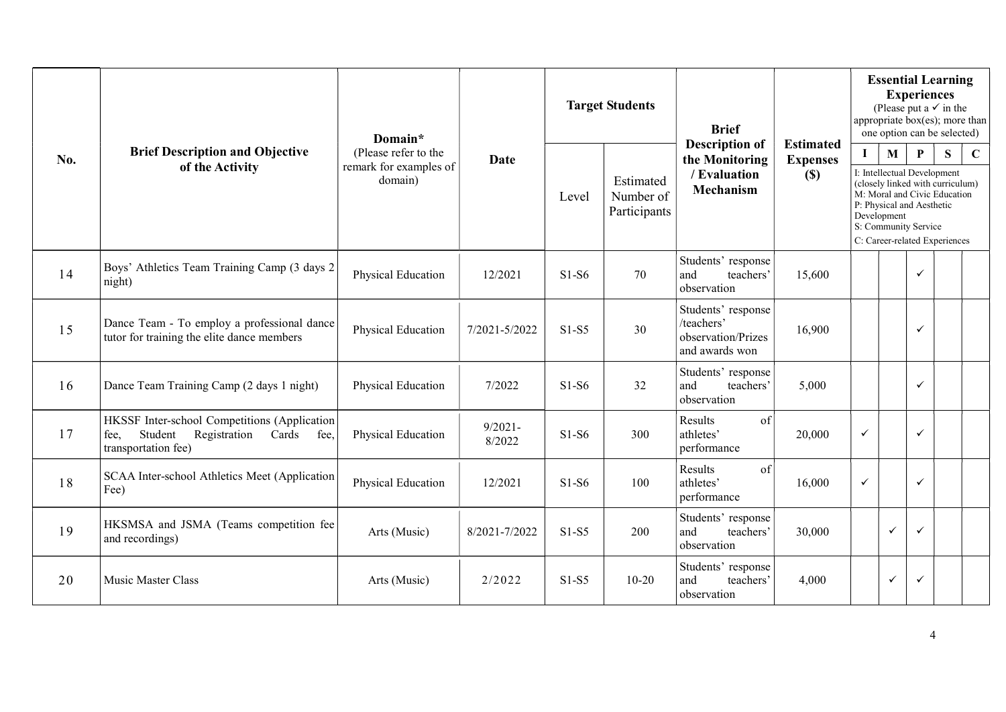|     |                                                                                                                         | Domain*                                                   |                      |         | <b>Target Students</b>                 | <b>Brief</b>                                                                |                                               | <b>Essential Learning</b><br><b>Experiences</b><br>(Please put a $\checkmark$ in the<br>appropriate box(es); more than<br>one option can be selected) |                             |                                                                                                                                                                                                                           |  |  |
|-----|-------------------------------------------------------------------------------------------------------------------------|-----------------------------------------------------------|----------------------|---------|----------------------------------------|-----------------------------------------------------------------------------|-----------------------------------------------|-------------------------------------------------------------------------------------------------------------------------------------------------------|-----------------------------|---------------------------------------------------------------------------------------------------------------------------------------------------------------------------------------------------------------------------|--|--|
| No. | <b>Brief Description and Objective</b><br>of the Activity                                                               | (Please refer to the<br>remark for examples of<br>domain) | <b>Date</b>          | Level   | Estimated<br>Number of<br>Participants | <b>Description of</b><br>the Monitoring<br>/ Evaluation<br><b>Mechanism</b> | <b>Estimated</b><br><b>Expenses</b><br>$(\$)$ | L                                                                                                                                                     | $\mathbf{M}$<br>Development | $\mathbf{P}$<br>$\mathbf C$<br>S<br>I: Intellectual Development<br>(closely linked with curriculum)<br>M: Moral and Civic Education<br>P: Physical and Aesthetic<br>S: Community Service<br>C: Career-related Experiences |  |  |
| 14  | Boys' Athletics Team Training Camp (3 days 2<br>night)                                                                  | Physical Education                                        | 12/2021              | $S1-S6$ | 70                                     | Students' response<br>and<br>teachers'<br>observation                       | 15,600                                        |                                                                                                                                                       |                             | ✓                                                                                                                                                                                                                         |  |  |
| 15  | Dance Team - To employ a professional dance<br>tutor for training the elite dance members                               | Physical Education                                        | 7/2021-5/2022        | $S1-S5$ | 30                                     | Students' response<br>/teachers'<br>observation/Prizes<br>and awards won    | 16,900                                        |                                                                                                                                                       |                             | ✓                                                                                                                                                                                                                         |  |  |
| 16  | Dance Team Training Camp (2 days 1 night)                                                                               | Physical Education                                        | 7/2022               | $S1-S6$ | 32                                     | Students' response<br>and<br>teachers'<br>observation                       | 5,000                                         |                                                                                                                                                       |                             | ✓                                                                                                                                                                                                                         |  |  |
| 17  | HKSSF Inter-school Competitions (Application<br>Student<br>Registration<br>Cards<br>fee,<br>fee.<br>transportation fee) | Physical Education                                        | $9/2021 -$<br>8/2022 | $S1-S6$ | 300                                    | of<br>Results<br>athletes'<br>performance                                   | 20,000                                        | $\checkmark$                                                                                                                                          |                             | $\checkmark$                                                                                                                                                                                                              |  |  |
| 18  | SCAA Inter-school Athletics Meet (Application<br>Fee)                                                                   | Physical Education                                        | 12/2021              | $S1-S6$ | 100                                    | of<br>Results<br>athletes'<br>performance                                   | 16,000                                        | $\checkmark$                                                                                                                                          |                             | $\checkmark$                                                                                                                                                                                                              |  |  |
| 19  | HKSMSA and JSMA (Teams competition fee<br>and recordings)                                                               | Arts (Music)                                              | 8/2021-7/2022        | $S1-S5$ | 200                                    | Students' response<br>and<br>teachers'<br>observation                       | 30,000                                        |                                                                                                                                                       | $\checkmark$                | $\checkmark$                                                                                                                                                                                                              |  |  |
| 20  | Music Master Class                                                                                                      | Arts (Music)                                              | 2/2022               | $S1-S5$ | $10 - 20$                              | Students' response<br>and<br>teachers'<br>observation                       | 4,000                                         |                                                                                                                                                       | $\checkmark$                | $\checkmark$                                                                                                                                                                                                              |  |  |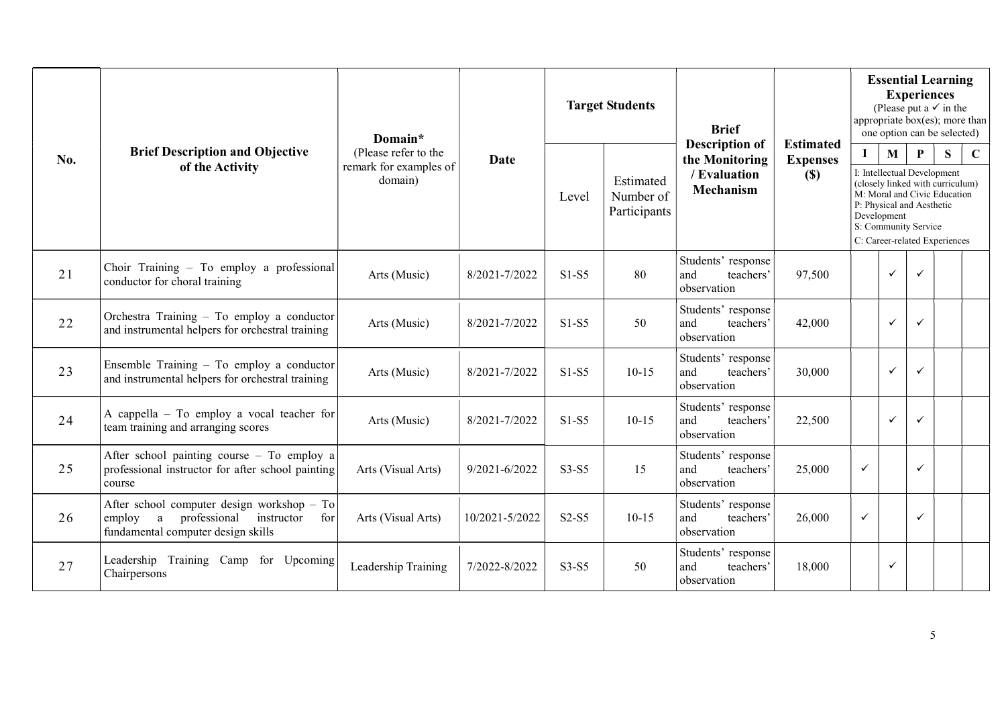|     |                                                                                                                                   | Domain*                                                   |                | <b>Target Students</b> |                                        | <b>Brief</b>                                                                |                                            |              |                                                                                                      | <b>Experiences</b> | <b>Essential Learning</b><br>(Please put a $\checkmark$ in the<br>appropriate box(es); more than<br>one option can be selected) |             |
|-----|-----------------------------------------------------------------------------------------------------------------------------------|-----------------------------------------------------------|----------------|------------------------|----------------------------------------|-----------------------------------------------------------------------------|--------------------------------------------|--------------|------------------------------------------------------------------------------------------------------|--------------------|---------------------------------------------------------------------------------------------------------------------------------|-------------|
| No. | <b>Brief Description and Objective</b><br>of the Activity                                                                         | (Please refer to the<br>remark for examples of<br>domain) | Date           | Level                  | Estimated<br>Number of<br>Participants | <b>Description of</b><br>the Monitoring<br>/ Evaluation<br><b>Mechanism</b> | <b>Estimated</b><br><b>Expenses</b><br>(S) | $\mathbf{I}$ | M<br>I: Intellectual Development<br>P: Physical and Aesthetic<br>Development<br>S: Community Service | $\mathbf{P}$       | S<br>(closely linked with curriculum)<br>M: Moral and Civic Education<br>C: Career-related Experiences                          | $\mathbf C$ |
| 21  | Choir Training - To employ a professional<br>conductor for choral training                                                        | Arts (Music)                                              | 8/2021-7/2022  | $S1-S5$                | 80                                     | Students' response<br>teachers'<br>and<br>observation                       | 97,500                                     |              | $\checkmark$                                                                                         | $\checkmark$       |                                                                                                                                 |             |
| 22  | Orchestra Training - To employ a conductor<br>and instrumental helpers for orchestral training                                    | Arts (Music)                                              | 8/2021-7/2022  | $S1-S5$                | 50                                     | Students' response<br>and<br>teachers'<br>observation                       | 42,000                                     |              | $\checkmark$                                                                                         | $\checkmark$       |                                                                                                                                 |             |
| 23  | Ensemble Training - To employ a conductor<br>and instrumental helpers for orchestral training                                     | Arts (Music)                                              | 8/2021-7/2022  | $S1-S5$                | $10-15$                                | Students' response<br>teachers'<br>and<br>observation                       | 30,000                                     |              | $\checkmark$                                                                                         | $\checkmark$       |                                                                                                                                 |             |
| 24  | A cappella - To employ a vocal teacher for<br>team training and arranging scores                                                  | Arts (Music)                                              | 8/2021-7/2022  | $S1-S5$                | $10-15$                                | Students' response<br>and<br>teachers'<br>observation                       | 22,500                                     |              | $\checkmark$                                                                                         | $\checkmark$       |                                                                                                                                 |             |
| 25  | After school painting course - To employ a<br>professional instructor for after school painting<br>course                         | Arts (Visual Arts)                                        | 9/2021-6/2022  | $S3-S5$                | 15                                     | Students' response<br>and<br>teachers'<br>observation                       | 25,000                                     | $\checkmark$ |                                                                                                      | $\checkmark$       |                                                                                                                                 |             |
| 26  | After school computer design workshop - To<br>a professional<br>instructor<br>employ<br>for<br>fundamental computer design skills | Arts (Visual Arts)                                        | 10/2021-5/2022 | $S2-S5$                | $10-15$                                | Students' response<br>and<br>teachers'<br>observation                       | 26,000                                     | $\checkmark$ |                                                                                                      | $\checkmark$       |                                                                                                                                 |             |
| 27  | Leadership Training Camp for Upcoming<br>Chairpersons                                                                             | Leadership Training                                       | 7/2022-8/2022  | $S3-S5$                | 50                                     | Students' response<br>and<br>teachers'<br>observation                       | 18,000                                     |              | $\checkmark$                                                                                         |                    |                                                                                                                                 |             |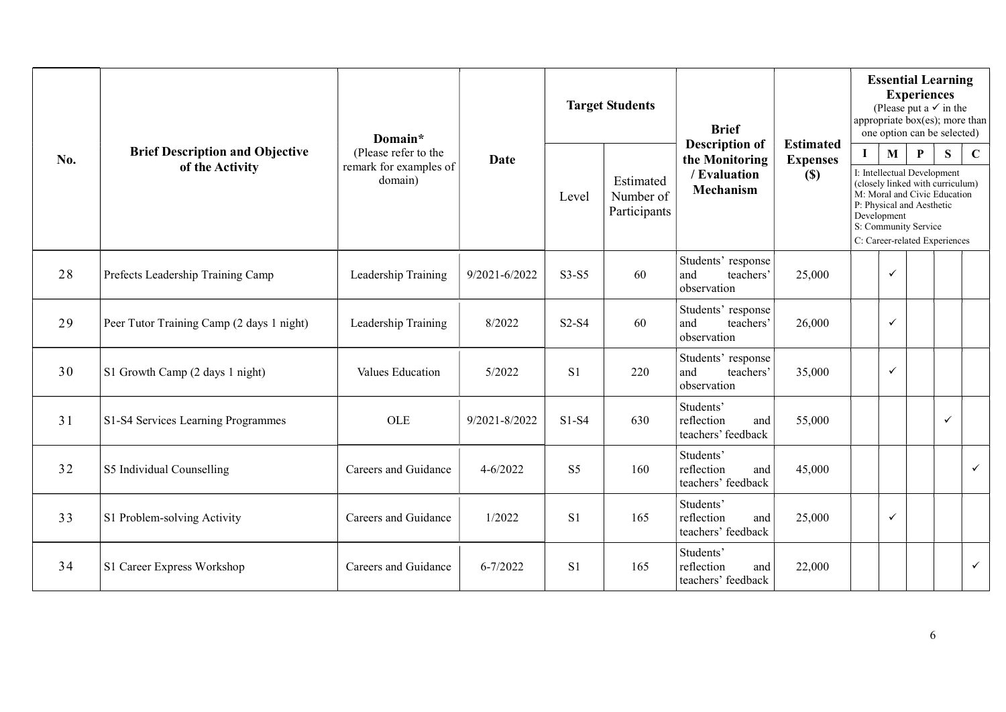|     |                                                           | Domain*                                                   |               | <b>Target Students</b> |                                        | <b>Brief</b>                                                                |                                               |          | <b>Essential Learning</b><br><b>Experiences</b><br>(Please put a $\checkmark$ in the<br>appropriate box(es); more than<br>one option can be selected)                                                                                     |  |   |              |  |  |
|-----|-----------------------------------------------------------|-----------------------------------------------------------|---------------|------------------------|----------------------------------------|-----------------------------------------------------------------------------|-----------------------------------------------|----------|-------------------------------------------------------------------------------------------------------------------------------------------------------------------------------------------------------------------------------------------|--|---|--------------|--|--|
| No. | <b>Brief Description and Objective</b><br>of the Activity | (Please refer to the<br>remark for examples of<br>domain) | <b>Date</b>   | Level                  | Estimated<br>Number of<br>Participants | <b>Description of</b><br>the Monitoring<br>/ Evaluation<br><b>Mechanism</b> | <b>Estimated</b><br><b>Expenses</b><br>$(\$)$ | $\bf{I}$ | $\mathbf{M}$<br>$\mathbf{P}$<br>S<br>I: Intellectual Development<br>(closely linked with curriculum)<br>M: Moral and Civic Education<br>P: Physical and Aesthetic<br>Development<br>S: Community Service<br>C: Career-related Experiences |  |   |              |  |  |
| 28  | Prefects Leadership Training Camp                         | Leadership Training                                       | 9/2021-6/2022 | $S3-S5$                | 60                                     | Students' response<br>and<br>teachers'<br>observation                       | 25,000                                        |          | $\checkmark$                                                                                                                                                                                                                              |  |   |              |  |  |
| 29  | Peer Tutor Training Camp (2 days 1 night)                 | Leadership Training                                       | 8/2022        | $S2-S4$                | 60                                     | Students' response<br>and<br>teachers'<br>observation                       | 26,000                                        |          | $\checkmark$                                                                                                                                                                                                                              |  |   |              |  |  |
| 30  | S1 Growth Camp (2 days 1 night)                           | Values Education                                          | 5/2022        | S <sub>1</sub>         | 220                                    | Students' response<br>and<br>teachers'<br>observation                       | 35,000                                        |          | $\checkmark$                                                                                                                                                                                                                              |  |   |              |  |  |
| 31  | S1-S4 Services Learning Programmes                        | OLE                                                       | 9/2021-8/2022 | $S1-S4$                | 630                                    | Students'<br>reflection<br>and<br>teachers' feedback                        | 55,000                                        |          |                                                                                                                                                                                                                                           |  | ✓ |              |  |  |
| 32  | S5 Individual Counselling                                 | Careers and Guidance                                      | $4 - 6/2022$  | S <sub>5</sub>         | 160                                    | Students'<br>reflection<br>and<br>teachers' feedback                        | 45,000                                        |          |                                                                                                                                                                                                                                           |  |   | $\checkmark$ |  |  |
| 33  | S1 Problem-solving Activity                               | Careers and Guidance                                      | 1/2022        | S <sub>1</sub>         | 165                                    | Students'<br>reflection<br>and<br>teachers' feedback                        | 25,000                                        |          | $\checkmark$                                                                                                                                                                                                                              |  |   |              |  |  |
| 34  | S1 Career Express Workshop                                | Careers and Guidance                                      | $6 - 7/2022$  | S <sub>1</sub>         | 165                                    | Students'<br>reflection<br>and<br>teachers' feedback                        | 22,000                                        |          |                                                                                                                                                                                                                                           |  |   | $\checkmark$ |  |  |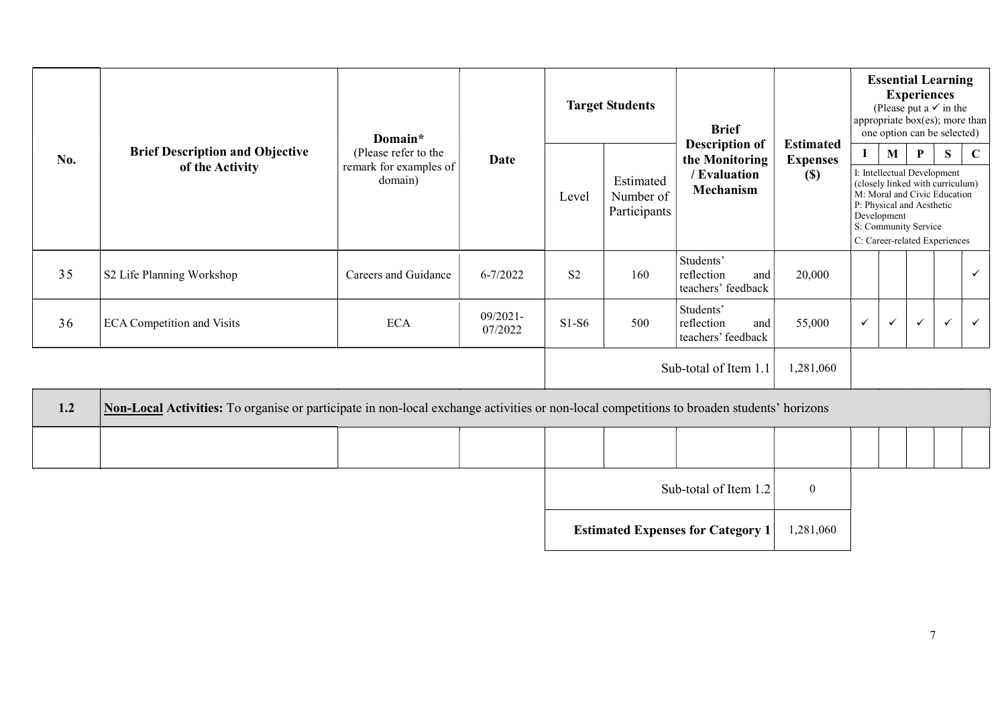|     |                                                           | Domain*                                                   |                        | <b>Target Students</b>                                                                                                                    |                                        |                                                      |              | <b>Brief</b><br><b>Description of</b><br>the Monitoring<br>/ Evaluation<br>Mechanism |                             |                                                                                                                                                                                                       | <b>Essential Learning</b><br><b>Experiences</b><br>(Please put a $\checkmark$ in the<br>appropriate box(es); more than<br>one option can be selected) |              |  |  |  |  |
|-----|-----------------------------------------------------------|-----------------------------------------------------------|------------------------|-------------------------------------------------------------------------------------------------------------------------------------------|----------------------------------------|------------------------------------------------------|--------------|--------------------------------------------------------------------------------------|-----------------------------|-------------------------------------------------------------------------------------------------------------------------------------------------------------------------------------------------------|-------------------------------------------------------------------------------------------------------------------------------------------------------|--------------|--|--|--|--|
| No. | <b>Brief Description and Objective</b><br>of the Activity | (Please refer to the<br>remark for examples of<br>domain) | <b>Date</b>            | Level                                                                                                                                     | Estimated<br>Number of<br>Participants | <b>Estimated</b><br><b>Expenses</b><br>(S)           | $\mathbf{I}$ |                                                                                      | $\mathbf{M}$<br>Development | $\mathbf{P}$<br>I: Intellectual Development<br>(closely linked with curriculum)<br>M: Moral and Civic Education<br>P: Physical and Aesthetic<br>S: Community Service<br>C: Career-related Experiences | S                                                                                                                                                     | $\mathbf C$  |  |  |  |  |
| 35  | S2 Life Planning Workshop                                 | Careers and Guidance                                      | $6 - 7/2022$           | S <sub>2</sub>                                                                                                                            | 160                                    | Students'<br>reflection<br>and<br>teachers' feedback | 20,000       |                                                                                      |                             |                                                                                                                                                                                                       |                                                                                                                                                       | $\checkmark$ |  |  |  |  |
| 36  | <b>ECA Competition and Visits</b>                         | <b>ECA</b>                                                | $09/2021 -$<br>07/2022 | $S1-S6$                                                                                                                                   | 500                                    | Students'<br>reflection<br>and<br>teachers' feedback | 55,000       | $\checkmark$                                                                         | $\checkmark$                | $\checkmark$                                                                                                                                                                                          | $\checkmark$                                                                                                                                          | $\checkmark$ |  |  |  |  |
|     |                                                           |                                                           |                        |                                                                                                                                           |                                        | Sub-total of Item 1.1                                | 1,281,060    |                                                                                      |                             |                                                                                                                                                                                                       |                                                                                                                                                       |              |  |  |  |  |
| 1.2 |                                                           |                                                           |                        | Non-Local Activities: To organise or participate in non-local exchange activities or non-local competitions to broaden students' horizons |                                        |                                                      |              |                                                                                      |                             |                                                                                                                                                                                                       |                                                                                                                                                       |              |  |  |  |  |
|     |                                                           |                                                           |                        |                                                                                                                                           |                                        |                                                      |              |                                                                                      |                             |                                                                                                                                                                                                       |                                                                                                                                                       |              |  |  |  |  |

| Sub-total of Item $1.2$                  |           |  |
|------------------------------------------|-----------|--|
| <b>Estimated Expenses for Category 1</b> | 1,281,060 |  |